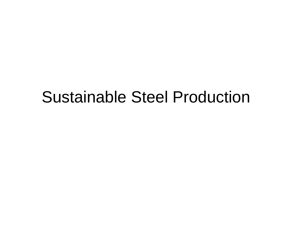## Sustainable Steel Production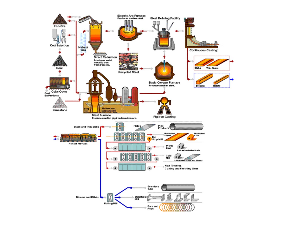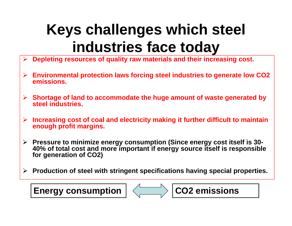# **Keys challenges which steel industries face today**

- $\blacktriangleright$ **Depleting resources of quality raw materials and their increasing cost.**
- $\blacktriangleright$  **Environmental protection laws forcing steel industries to generate low CO2 emissions.**
- $\blacktriangleright$  **Shortage of land to accommodate the huge amount of waste generated by steel industries.**
- $\blacktriangleright$  **Increasing cost of coal and electricity making it further difficult to maintain enough profit margins.**
- $\blacktriangleright$  **Pressure to minimize energy consumption (Since energy cost itself is 30- 40% of total cost and more important if energy source itself is responsible for generation of CO2)**
- $\blacktriangleright$ **Production of steel with stringent specifications having special properties.**



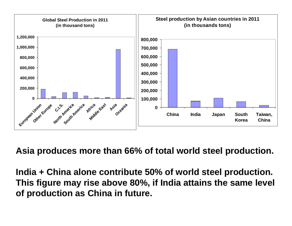

**Asia produces more than 66% of total world steel production.**

**India + China alone contribute 50% of world steel production. This figure may rise above 80%, if India attains the same level of production as China in future.**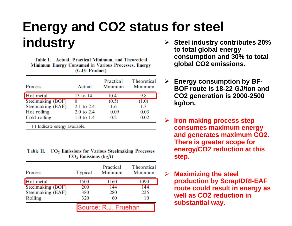### **Energy and CO2 status for steel industry**

Table I. Actual, Practical Minimum, and Theoretical **Minimum Energy Consumed in Various Processes, Energy**  $(GJ/t$  Product)

| Process           | Actual     | Practical<br>Minimum | Theoretical<br>Minimum |
|-------------------|------------|----------------------|------------------------|
| Hot metal         | 13 to 14   | 10.4                 | 9.8                    |
| Steelmaking (BOF) | O          | (0.5)                | (1.0)                  |
| Steelmaking (EAF) | 2.1 to 2.4 | 1.6                  | 1.3                    |
| Hot rolling       | 2.0 to 2.4 | 0.09                 | 0.03                   |
| Cold rolling      | 1.0 to 1.4 | 0.2                  | 0.02                   |
|                   |            |                      |                        |

() Indicate energy available.

Table II. CO<sub>2</sub> Emissions for Various Steelmaking Processes  $CO<sub>2</sub>$  Emissions (kg/t)

| Process           | Typical              | Practical<br>Minimum | <b>Theoretical</b><br>Minimum |  |
|-------------------|----------------------|----------------------|-------------------------------|--|
| Hot metal         | 1500                 | 1160                 | 1090                          |  |
| Steelmaking (BOF) | 200                  | 144                  | 144                           |  |
| Steelmaking (EAF) | 380                  | 280                  | 225                           |  |
| Rolling           | 320                  | 60                   | 10                            |  |
|                   | Source: R.J. Fruehan |                      |                               |  |

- **Steel industry contributes 20% to total global energy consumption and 30% to total global CO2 emissions.**
- **Energy consumption by BF-BOF route is 18-22 GJ/ton and CO2 generation is 2000-2500 kg/ton.**
- **Iron making process step consumes maximum energy and generates maximum CO2. There is greater scope for energy/CO2 reduction at this step.**
- $\blacktriangleright$  **Maximizing the steel production by Scrap/DRI-EAF route could result in energy as well as CO2 reduction in substantial way.**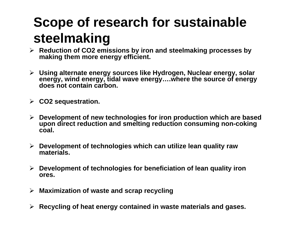## **Scope of research for sustainable steelmaking**

- **Reduction of CO2 emissions by iron and steelmaking processes by making them more energy efficient.**
- **Using alternate energy sources like Hydrogen, Nuclear energy, solar energy, wind energy, tidal wave energy….where the source of energy does not contain carbon.**
- **CO2 sequestration.**
- **Development of new technologies for iron production which are based upon direct reduction and smelting reduction consuming non-coking coal.**
- **Development of technologies which can utilize lean quality raw materials.**
- **Development of technologies for beneficiation of lean quality iron ores.**
- **Maximization of waste and scrap recycling**
- **Recycling of heat energy contained in waste materials and gases.**